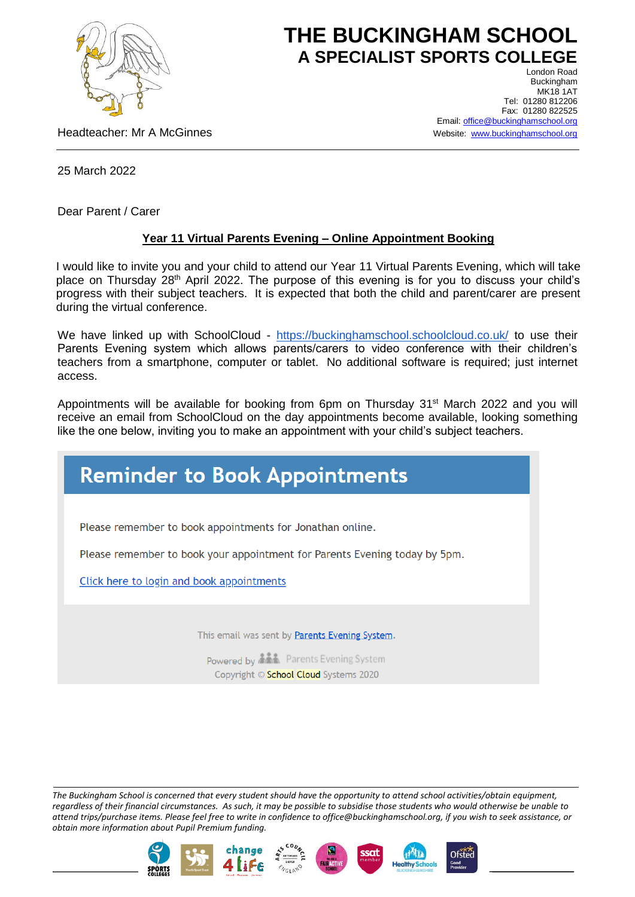

## **THE BUCKINGHAM SCHOOL A SPECIALIST SPORTS COLLEGE** London Road

Headteacher: Mr A McGinnes

Buckingham **MK18 1AT** Tel: 01280 812206 Fax: 01280 822525 Email[: office@buckinghamschool.org](mailto:office@buckinghamschool.org) Website: [www.buckinghamschool.org](http://www.buckinghamschool.org/)

25 March 2022

Dear Parent / Carer

## **Year 11 Virtual Parents Evening – Online Appointment Booking**

I would like to invite you and your child to attend our Year 11 Virtual Parents Evening, which will take place on Thursday 28<sup>th</sup> April 2022. The purpose of this evening is for you to discuss your child's progress with their subject teachers. It is expected that both the child and parent/carer are present during the virtual conference.

We have linked up with SchoolCloud - <https://buckinghamschool.schoolcloud.co.uk/> to use their Parents Evening system which allows parents/carers to video conference with their children's teachers from a smartphone, computer or tablet. No additional software is required; just internet access.

Appointments will be available for booking from 6pm on Thursday  $31<sup>st</sup>$  March 2022 and you will receive an email from SchoolCloud on the day appointments become available, looking something like the one below, inviting you to make an appointment with your child's subject teachers.

## **Reminder to Book Appointments**

Please remember to book appointments for Jonathan online.

Please remember to book your appointment for Parents Evening today by 5pm.

Click here to login and book appointments

This email was sent by Parents Evening System.

Powered by **ALL** Parents Evening System Copyright © School Cloud Systems 2020

*The Buckingham School is concerned that every student should have the opportunity to attend school activities/obtain equipment, regardless of their financial circumstances. As such, it may be possible to subsidise those students who would otherwise be unable to attend trips/purchase items. Please feel free to write in confidence to office@buckinghamschool.org, if you wish to seek assistance, or obtain more information about Pupil Premium funding.*